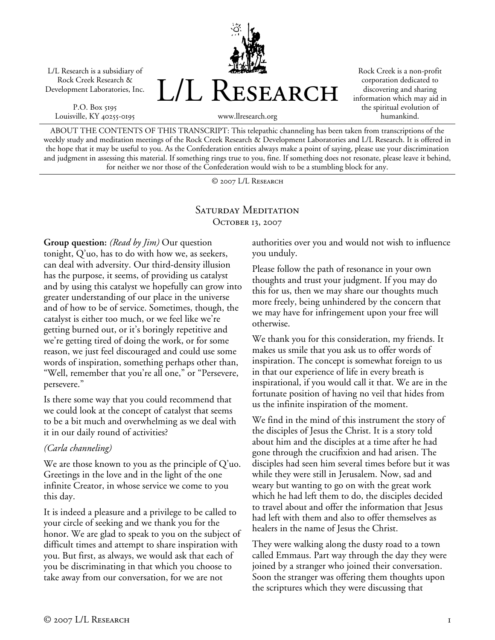L/L Research is a subsidiary of Rock Creek Research & Development Laboratories, Inc.

P.O. Box 5195 Louisville, KY 40255-0195



Rock Creek is a non-profit corporation dedicated to discovering and sharing information which may aid in the spiritual evolution of humankind.

www.llresearch.org

ABOUT THE CONTENTS OF THIS TRANSCRIPT: This telepathic channeling has been taken from transcriptions of the weekly study and meditation meetings of the Rock Creek Research & Development Laboratories and L/L Research. It is offered in the hope that it may be useful to you. As the Confederation entities always make a point of saying, please use your discrimination and judgment in assessing this material. If something rings true to you, fine. If something does not resonate, please leave it behind, for neither we nor those of the Confederation would wish to be a stumbling block for any.

© 2007 L/L Research

## SATURDAY MEDITATION OCTOBER 13, 2007

**Group question:** *(Read by Jim)* Our question tonight, Q'uo, has to do with how we, as seekers, can deal with adversity. Our third-density illusion has the purpose, it seems, of providing us catalyst and by using this catalyst we hopefully can grow into greater understanding of our place in the universe and of how to be of service. Sometimes, though, the catalyst is either too much, or we feel like we're getting burned out, or it's boringly repetitive and we're getting tired of doing the work, or for some reason, we just feel discouraged and could use some words of inspiration, something perhaps other than, "Well, remember that you're all one," or "Persevere, persevere."

Is there some way that you could recommend that we could look at the concept of catalyst that seems to be a bit much and overwhelming as we deal with it in our daily round of activities?

## *(Carla channeling)*

We are those known to you as the principle of Q'uo. Greetings in the love and in the light of the one infinite Creator, in whose service we come to you this day.

It is indeed a pleasure and a privilege to be called to your circle of seeking and we thank you for the honor. We are glad to speak to you on the subject of difficult times and attempt to share inspiration with you. But first, as always, we would ask that each of you be discriminating in that which you choose to take away from our conversation, for we are not

authorities over you and would not wish to influence you unduly.

Please follow the path of resonance in your own thoughts and trust your judgment. If you may do this for us, then we may share our thoughts much more freely, being unhindered by the concern that we may have for infringement upon your free will otherwise.

We thank you for this consideration, my friends. It makes us smile that you ask us to offer words of inspiration. The concept is somewhat foreign to us in that our experience of life in every breath is inspirational, if you would call it that. We are in the fortunate position of having no veil that hides from us the infinite inspiration of the moment.

We find in the mind of this instrument the story of the disciples of Jesus the Christ. It is a story told about him and the disciples at a time after he had gone through the crucifixion and had arisen. The disciples had seen him several times before but it was while they were still in Jerusalem. Now, sad and weary but wanting to go on with the great work which he had left them to do, the disciples decided to travel about and offer the information that Jesus had left with them and also to offer themselves as healers in the name of Jesus the Christ.

They were walking along the dusty road to a town called Emmaus. Part way through the day they were joined by a stranger who joined their conversation. Soon the stranger was offering them thoughts upon the scriptures which they were discussing that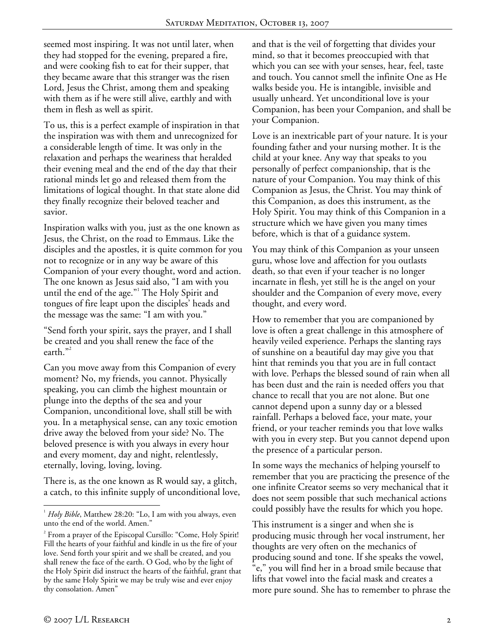seemed most inspiring. It was not until later, when they had stopped for the evening, prepared a fire, and were cooking fish to eat for their supper, that they became aware that this stranger was the risen Lord, Jesus the Christ, among them and speaking with them as if he were still alive, earthly and with them in flesh as well as spirit.

To us, this is a perfect example of inspiration in that the inspiration was with them and unrecognized for a considerable length of time. It was only in the relaxation and perhaps the weariness that heralded their evening meal and the end of the day that their rational minds let go and released them from the limitations of logical thought. In that state alone did they finally recognize their beloved teacher and savior.

Inspiration walks with you, just as the one known as Jesus, the Christ, on the road to Emmaus. Like the disciples and the apostles, it is quite common for you not to recognize or in any way be aware of this Companion of your every thought, word and action. The one known as Jesus said also, "I am with you until the end of the age."<sup>1</sup> The Holy Spirit and tongues of fire leapt upon the disciples' heads and the message was the same: "I am with you."

"Send forth your spirit, says the prayer, and I shall be created and you shall renew the face of the earth."<sup>2</sup>

Can you move away from this Companion of every moment? No, my friends, you cannot. Physically speaking, you can climb the highest mountain or plunge into the depths of the sea and your Companion, unconditional love, shall still be with you. In a metaphysical sense, can any toxic emotion drive away the beloved from your side? No. The beloved presence is with you always in every hour and every moment, day and night, relentlessly, eternally, loving, loving, loving.

There is, as the one known as R would say, a glitch, a catch, to this infinite supply of unconditional love, and that is the veil of forgetting that divides your mind, so that it becomes preoccupied with that which you can see with your senses, hear, feel, taste and touch. You cannot smell the infinite One as He walks beside you. He is intangible, invisible and usually unheard. Yet unconditional love is your Companion, has been your Companion, and shall be your Companion.

Love is an inextricable part of your nature. It is your founding father and your nursing mother. It is the child at your knee. Any way that speaks to you personally of perfect companionship, that is the nature of your Companion. You may think of this Companion as Jesus, the Christ. You may think of this Companion, as does this instrument, as the Holy Spirit. You may think of this Companion in a structure which we have given you many times before, which is that of a guidance system.

You may think of this Companion as your unseen guru, whose love and affection for you outlasts death, so that even if your teacher is no longer incarnate in flesh, yet still he is the angel on your shoulder and the Companion of every move, every thought, and every word.

How to remember that you are companioned by love is often a great challenge in this atmosphere of heavily veiled experience. Perhaps the slanting rays of sunshine on a beautiful day may give you that hint that reminds you that you are in full contact with love. Perhaps the blessed sound of rain when all has been dust and the rain is needed offers you that chance to recall that you are not alone. But one cannot depend upon a sunny day or a blessed rainfall. Perhaps a beloved face, your mate, your friend, or your teacher reminds you that love walks with you in every step. But you cannot depend upon the presence of a particular person.

In some ways the mechanics of helping yourself to remember that you are practicing the presence of the one infinite Creator seems so very mechanical that it does not seem possible that such mechanical actions could possibly have the results for which you hope.

This instrument is a singer and when she is producing music through her vocal instrument, her thoughts are very often on the mechanics of producing sound and tone. If she speaks the vowel, "e," you will find her in a broad smile because that lifts that vowel into the facial mask and creates a more pure sound. She has to remember to phrase the

 $\overline{a}$ 

<sup>1</sup> *Holy Bible*, Matthew 28:20: "Lo, I am with you always, even unto the end of the world. Amen."

<sup>&</sup>lt;sup>2</sup> From a prayer of the Episcopal Cursillo: "Come, Holy Spirit! Fill the hearts of your faithful and kindle in us the fire of your love. Send forth your spirit and we shall be created, and you shall renew the face of the earth. O God, who by the light of the Holy Spirit did instruct the hearts of the faithful, grant that by the same Holy Spirit we may be truly wise and ever enjoy thy consolation. Amen"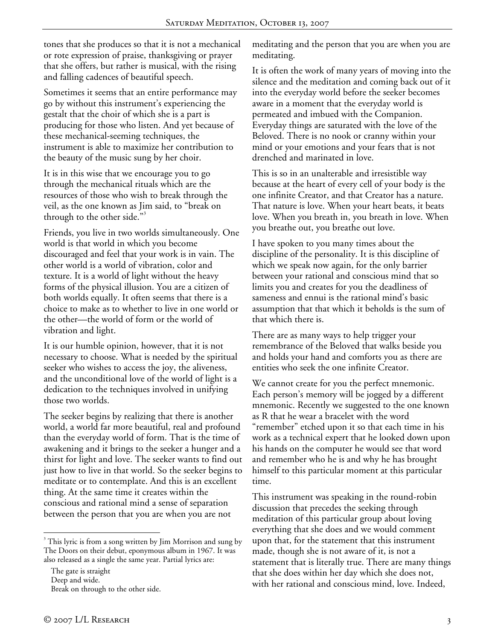tones that she produces so that it is not a mechanical or rote expression of praise, thanksgiving or prayer that she offers, but rather is musical, with the rising and falling cadences of beautiful speech.

Sometimes it seems that an entire performance may go by without this instrument's experiencing the gestalt that the choir of which she is a part is producing for those who listen. And yet because of these mechanical-seeming techniques, the instrument is able to maximize her contribution to the beauty of the music sung by her choir.

It is in this wise that we encourage you to go through the mechanical rituals which are the resources of those who wish to break through the veil, as the one known as Jim said, to "break on through to the other side."<sup>3</sup>

Friends, you live in two worlds simultaneously. One world is that world in which you become discouraged and feel that your work is in vain. The other world is a world of vibration, color and texture. It is a world of light without the heavy forms of the physical illusion. You are a citizen of both worlds equally. It often seems that there is a choice to make as to whether to live in one world or the other—the world of form or the world of vibration and light.

It is our humble opinion, however, that it is not necessary to choose. What is needed by the spiritual seeker who wishes to access the joy, the aliveness, and the unconditional love of the world of light is a dedication to the techniques involved in unifying those two worlds.

The seeker begins by realizing that there is another world, a world far more beautiful, real and profound than the everyday world of form. That is the time of awakening and it brings to the seeker a hunger and a thirst for light and love. The seeker wants to find out just how to live in that world. So the seeker begins to meditate or to contemplate. And this is an excellent thing. At the same time it creates within the conscious and rational mind a sense of separation between the person that you are when you are not

 $\overline{a}$ 

meditating and the person that you are when you are meditating.

It is often the work of many years of moving into the silence and the meditation and coming back out of it into the everyday world before the seeker becomes aware in a moment that the everyday world is permeated and imbued with the Companion. Everyday things are saturated with the love of the Beloved. There is no nook or cranny within your mind or your emotions and your fears that is not drenched and marinated in love.

This is so in an unalterable and irresistible way because at the heart of every cell of your body is the one infinite Creator, and that Creator has a nature. That nature is love. When your heart beats, it beats love. When you breath in, you breath in love. When you breathe out, you breathe out love.

I have spoken to you many times about the discipline of the personality. It is this discipline of which we speak now again, for the only barrier between your rational and conscious mind that so limits you and creates for you the deadliness of sameness and ennui is the rational mind's basic assumption that that which it beholds is the sum of that which there is.

There are as many ways to help trigger your remembrance of the Beloved that walks beside you and holds your hand and comforts you as there are entities who seek the one infinite Creator.

We cannot create for you the perfect mnemonic. Each person's memory will be jogged by a different mnemonic. Recently we suggested to the one known as R that he wear a bracelet with the word "remember" etched upon it so that each time in his work as a technical expert that he looked down upon his hands on the computer he would see that word and remember who he is and why he has brought himself to this particular moment at this particular time.

This instrument was speaking in the round-robin discussion that precedes the seeking through meditation of this particular group about loving everything that she does and we would comment upon that, for the statement that this instrument made, though she is not aware of it, is not a statement that is literally true. There are many things that she does within her day which she does not, with her rational and conscious mind, love. Indeed,

<sup>&</sup>lt;sup>3</sup> This lyric is from a song written by Jim Morrison and sung by The Doors on their debut, eponymous album in 1967. It was also released as a single the same year. Partial lyrics are:

The gate is straight

Deep and wide.

Break on through to the other side.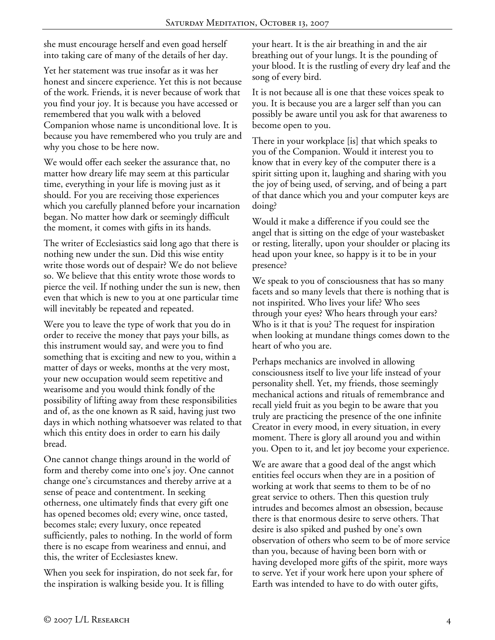she must encourage herself and even goad herself into taking care of many of the details of her day.

Yet her statement was true insofar as it was her honest and sincere experience. Yet this is not because of the work. Friends, it is never because of work that you find your joy. It is because you have accessed or remembered that you walk with a beloved Companion whose name is unconditional love. It is because you have remembered who you truly are and why you chose to be here now.

We would offer each seeker the assurance that, no matter how dreary life may seem at this particular time, everything in your life is moving just as it should. For you are receiving those experiences which you carefully planned before your incarnation began. No matter how dark or seemingly difficult the moment, it comes with gifts in its hands.

The writer of Ecclesiastics said long ago that there is nothing new under the sun. Did this wise entity write those words out of despair? We do not believe so. We believe that this entity wrote those words to pierce the veil. If nothing under the sun is new, then even that which is new to you at one particular time will inevitably be repeated and repeated.

Were you to leave the type of work that you do in order to receive the money that pays your bills, as this instrument would say, and were you to find something that is exciting and new to you, within a matter of days or weeks, months at the very most, your new occupation would seem repetitive and wearisome and you would think fondly of the possibility of lifting away from these responsibilities and of, as the one known as R said, having just two days in which nothing whatsoever was related to that which this entity does in order to earn his daily bread.

One cannot change things around in the world of form and thereby come into one's joy. One cannot change one's circumstances and thereby arrive at a sense of peace and contentment. In seeking otherness, one ultimately finds that every gift one has opened becomes old; every wine, once tasted, becomes stale; every luxury, once repeated sufficiently, pales to nothing. In the world of form there is no escape from weariness and ennui, and this, the writer of Ecclesiastes knew.

When you seek for inspiration, do not seek far, for the inspiration is walking beside you. It is filling

your heart. It is the air breathing in and the air breathing out of your lungs. It is the pounding of your blood. It is the rustling of every dry leaf and the song of every bird.

It is not because all is one that these voices speak to you. It is because you are a larger self than you can possibly be aware until you ask for that awareness to become open to you.

There in your workplace [is] that which speaks to you of the Companion. Would it interest you to know that in every key of the computer there is a spirit sitting upon it, laughing and sharing with you the joy of being used, of serving, and of being a part of that dance which you and your computer keys are doing?

Would it make a difference if you could see the angel that is sitting on the edge of your wastebasket or resting, literally, upon your shoulder or placing its head upon your knee, so happy is it to be in your presence?

We speak to you of consciousness that has so many facets and so many levels that there is nothing that is not inspirited. Who lives your life? Who sees through your eyes? Who hears through your ears? Who is it that is you? The request for inspiration when looking at mundane things comes down to the heart of who you are.

Perhaps mechanics are involved in allowing consciousness itself to live your life instead of your personality shell. Yet, my friends, those seemingly mechanical actions and rituals of remembrance and recall yield fruit as you begin to be aware that you truly are practicing the presence of the one infinite Creator in every mood, in every situation, in every moment. There is glory all around you and within you. Open to it, and let joy become your experience.

We are aware that a good deal of the angst which entities feel occurs when they are in a position of working at work that seems to them to be of no great service to others. Then this question truly intrudes and becomes almost an obsession, because there is that enormous desire to serve others. That desire is also spiked and pushed by one's own observation of others who seem to be of more service than you, because of having been born with or having developed more gifts of the spirit, more ways to serve. Yet if your work here upon your sphere of Earth was intended to have to do with outer gifts,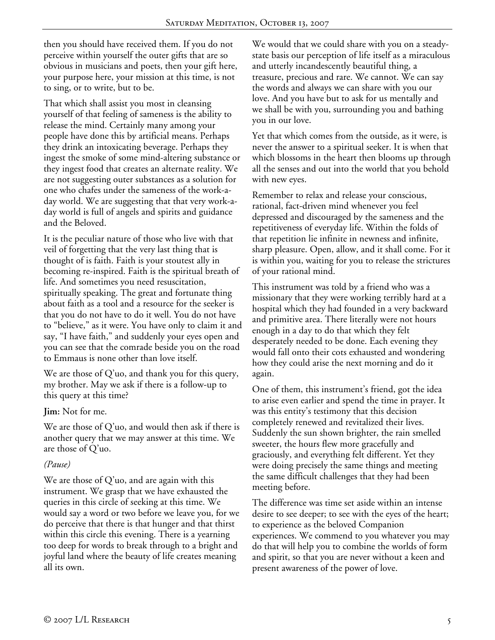then you should have received them. If you do not perceive within yourself the outer gifts that are so obvious in musicians and poets, then your gift here, your purpose here, your mission at this time, is not to sing, or to write, but to be.

That which shall assist you most in cleansing yourself of that feeling of sameness is the ability to release the mind. Certainly many among your people have done this by artificial means. Perhaps they drink an intoxicating beverage. Perhaps they ingest the smoke of some mind-altering substance or they ingest food that creates an alternate reality. We are not suggesting outer substances as a solution for one who chafes under the sameness of the work-aday world. We are suggesting that that very work-aday world is full of angels and spirits and guidance and the Beloved.

It is the peculiar nature of those who live with that veil of forgetting that the very last thing that is thought of is faith. Faith is your stoutest ally in becoming re-inspired. Faith is the spiritual breath of life. And sometimes you need resuscitation, spiritually speaking. The great and fortunate thing about faith as a tool and a resource for the seeker is that you do not have to do it well. You do not have to "believe," as it were. You have only to claim it and say, "I have faith," and suddenly your eyes open and you can see that the comrade beside you on the road to Emmaus is none other than love itself.

We are those of Q'uo, and thank you for this query, my brother. May we ask if there is a follow-up to this query at this time?

**Jim:** Not for me.

We are those of Q'uo, and would then ask if there is another query that we may answer at this time. We are those of Q'uo.

## *(Pause)*

We are those of Q'uo, and are again with this instrument. We grasp that we have exhausted the queries in this circle of seeking at this time. We would say a word or two before we leave you, for we do perceive that there is that hunger and that thirst within this circle this evening. There is a yearning too deep for words to break through to a bright and joyful land where the beauty of life creates meaning all its own.

We would that we could share with you on a steadystate basis our perception of life itself as a miraculous and utterly incandescently beautiful thing, a treasure, precious and rare. We cannot. We can say the words and always we can share with you our love. And you have but to ask for us mentally and we shall be with you, surrounding you and bathing you in our love.

Yet that which comes from the outside, as it were, is never the answer to a spiritual seeker. It is when that which blossoms in the heart then blooms up through all the senses and out into the world that you behold with new eyes.

Remember to relax and release your conscious, rational, fact-driven mind whenever you feel depressed and discouraged by the sameness and the repetitiveness of everyday life. Within the folds of that repetition lie infinite in newness and infinite, sharp pleasure. Open, allow, and it shall come. For it is within you, waiting for you to release the strictures of your rational mind.

This instrument was told by a friend who was a missionary that they were working terribly hard at a hospital which they had founded in a very backward and primitive area. There literally were not hours enough in a day to do that which they felt desperately needed to be done. Each evening they would fall onto their cots exhausted and wondering how they could arise the next morning and do it again.

One of them, this instrument's friend, got the idea to arise even earlier and spend the time in prayer. It was this entity's testimony that this decision completely renewed and revitalized their lives. Suddenly the sun shown brighter, the rain smelled sweeter, the hours flew more gracefully and graciously, and everything felt different. Yet they were doing precisely the same things and meeting the same difficult challenges that they had been meeting before.

The difference was time set aside within an intense desire to see deeper; to see with the eyes of the heart; to experience as the beloved Companion experiences. We commend to you whatever you may do that will help you to combine the worlds of form and spirit, so that you are never without a keen and present awareness of the power of love.